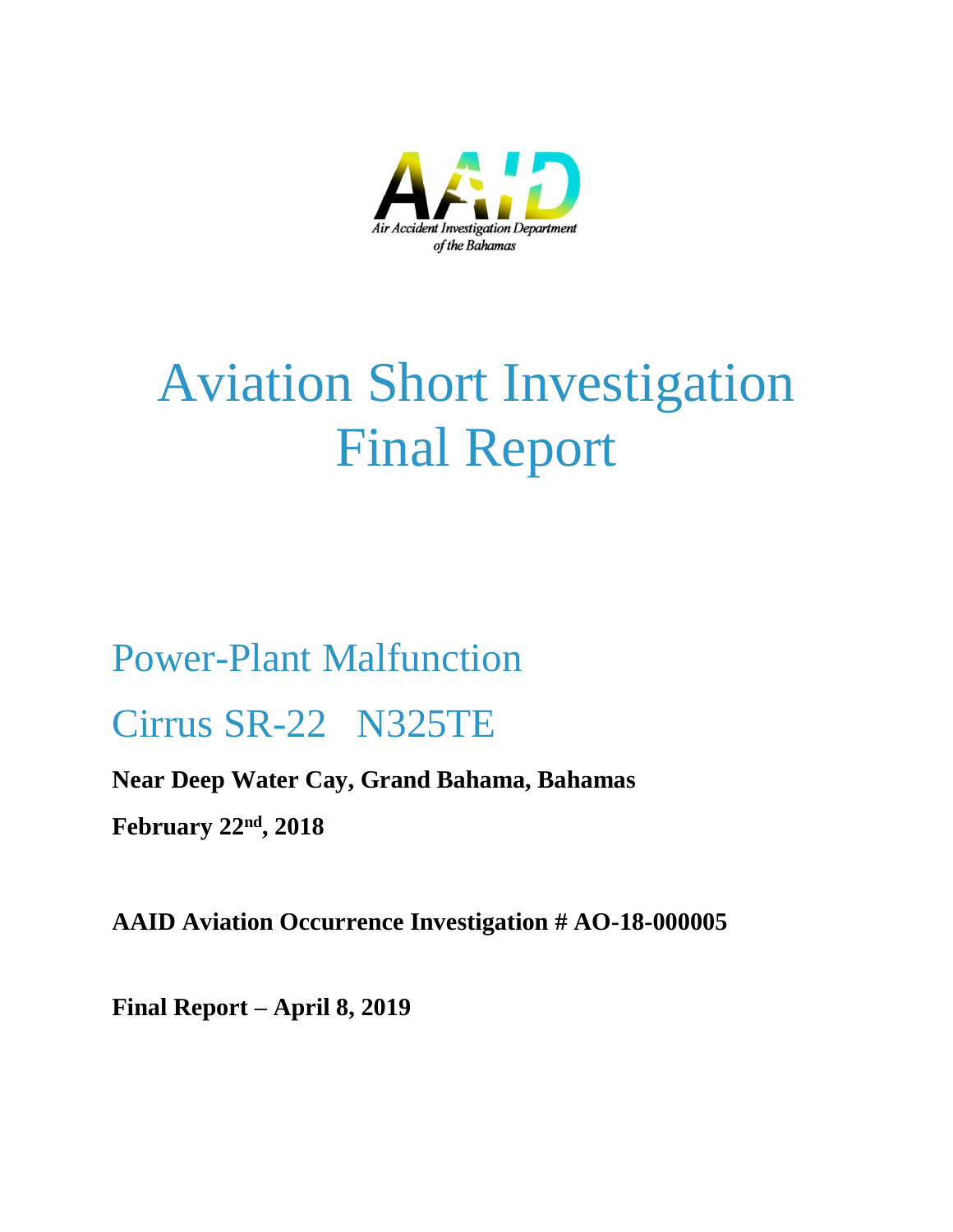

# Aviation Short Investigation Final Report

## Power-Plant Malfunction Cirrus SR-22 N325TE

## **Near Deep Water Cay, Grand Bahama, Bahamas**

**February 22nd, 2018**

**AAID Aviation Occurrence Investigation # AO-18-000005**

**Final Report – April 8, 2019**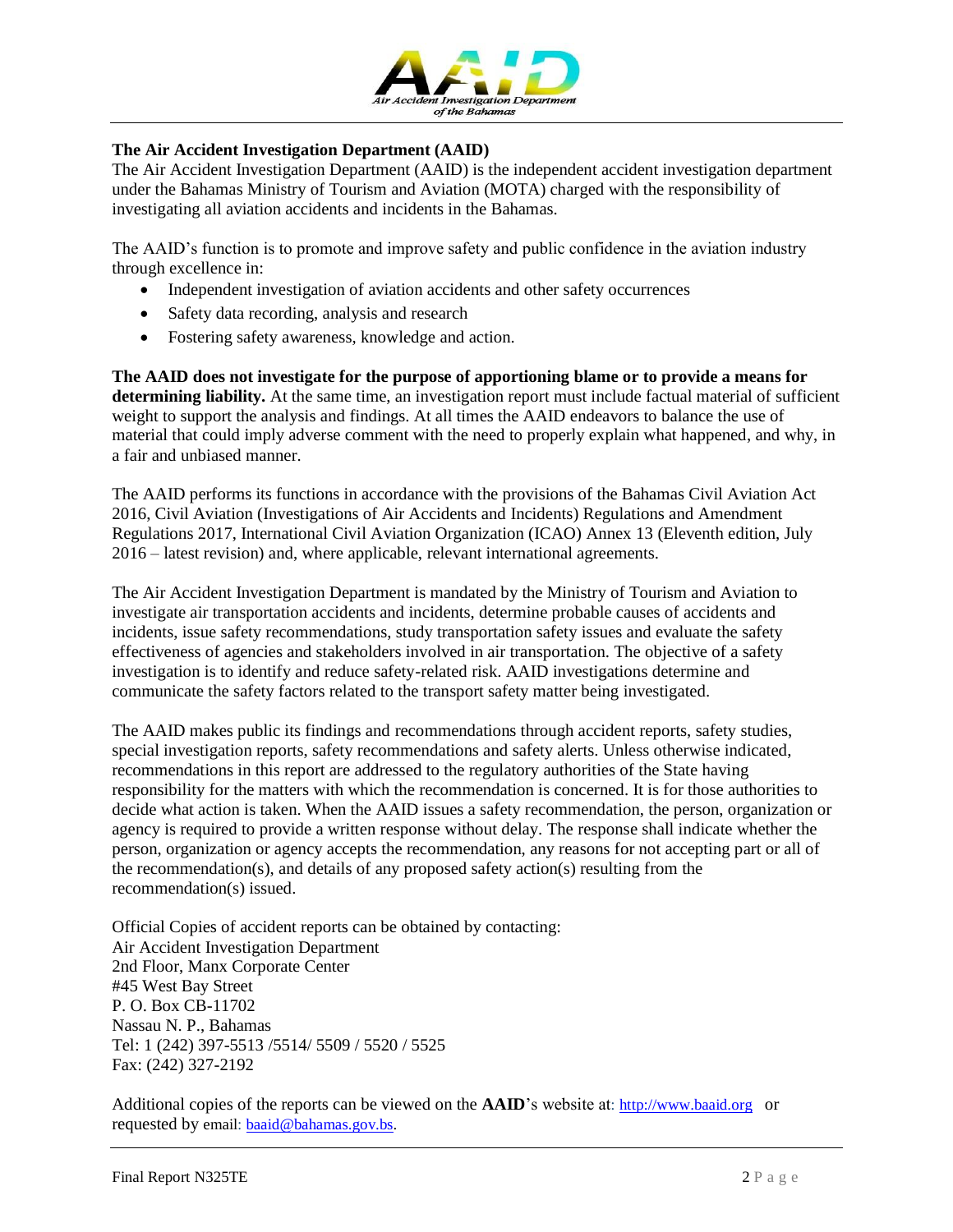

#### **The Air Accident Investigation Department (AAID)**

The Air Accident Investigation Department (AAID) is the independent accident investigation department under the Bahamas Ministry of Tourism and Aviation (MOTA) charged with the responsibility of investigating all aviation accidents and incidents in the Bahamas.

The AAID's function is to promote and improve safety and public confidence in the aviation industry through excellence in:

- Independent investigation of aviation accidents and other safety occurrences
- Safety data recording, analysis and research
- Fostering safety awareness, knowledge and action.

**The AAID does not investigate for the purpose of apportioning blame or to provide a means for determining liability.** At the same time, an investigation report must include factual material of sufficient weight to support the analysis and findings. At all times the AAID endeavors to balance the use of material that could imply adverse comment with the need to properly explain what happened, and why, in a fair and unbiased manner.

The AAID performs its functions in accordance with the provisions of the Bahamas Civil Aviation Act 2016, Civil Aviation (Investigations of Air Accidents and Incidents) Regulations and Amendment Regulations 2017, International Civil Aviation Organization (ICAO) Annex 13 (Eleventh edition, July 2016 – latest revision) and, where applicable, relevant international agreements.

The Air Accident Investigation Department is mandated by the Ministry of Tourism and Aviation to investigate air transportation accidents and incidents, determine probable causes of accidents and incidents, issue safety recommendations, study transportation safety issues and evaluate the safety effectiveness of agencies and stakeholders involved in air transportation. The objective of a safety investigation is to identify and reduce safety-related risk. AAID investigations determine and communicate the safety factors related to the transport safety matter being investigated.

The AAID makes public its findings and recommendations through accident reports, safety studies, special investigation reports, safety recommendations and safety alerts. Unless otherwise indicated, recommendations in this report are addressed to the regulatory authorities of the State having responsibility for the matters with which the recommendation is concerned. It is for those authorities to decide what action is taken. When the AAID issues a safety recommendation, the person, organization or agency is required to provide a written response without delay. The response shall indicate whether the person, organization or agency accepts the recommendation, any reasons for not accepting part or all of the recommendation(s), and details of any proposed safety action(s) resulting from the recommendation(s) issued.

Official Copies of accident reports can be obtained by contacting: Air Accident Investigation Department 2nd Floor, Manx Corporate Center #45 West Bay Street P. O. Box CB-11702 Nassau N. P., Bahamas Tel: 1 (242) 397-5513 /5514/ 5509 / 5520 / 5525 Fax: (242) 327-2192

Additional copies of the reports can be viewed on the **AAID**'s website at: [http://www.baaid.org](http://www.baaid.org/) or requested by email: **[baaid@bahamas.gov.bs.](mailto:baaid@bahamas.gov.bs)**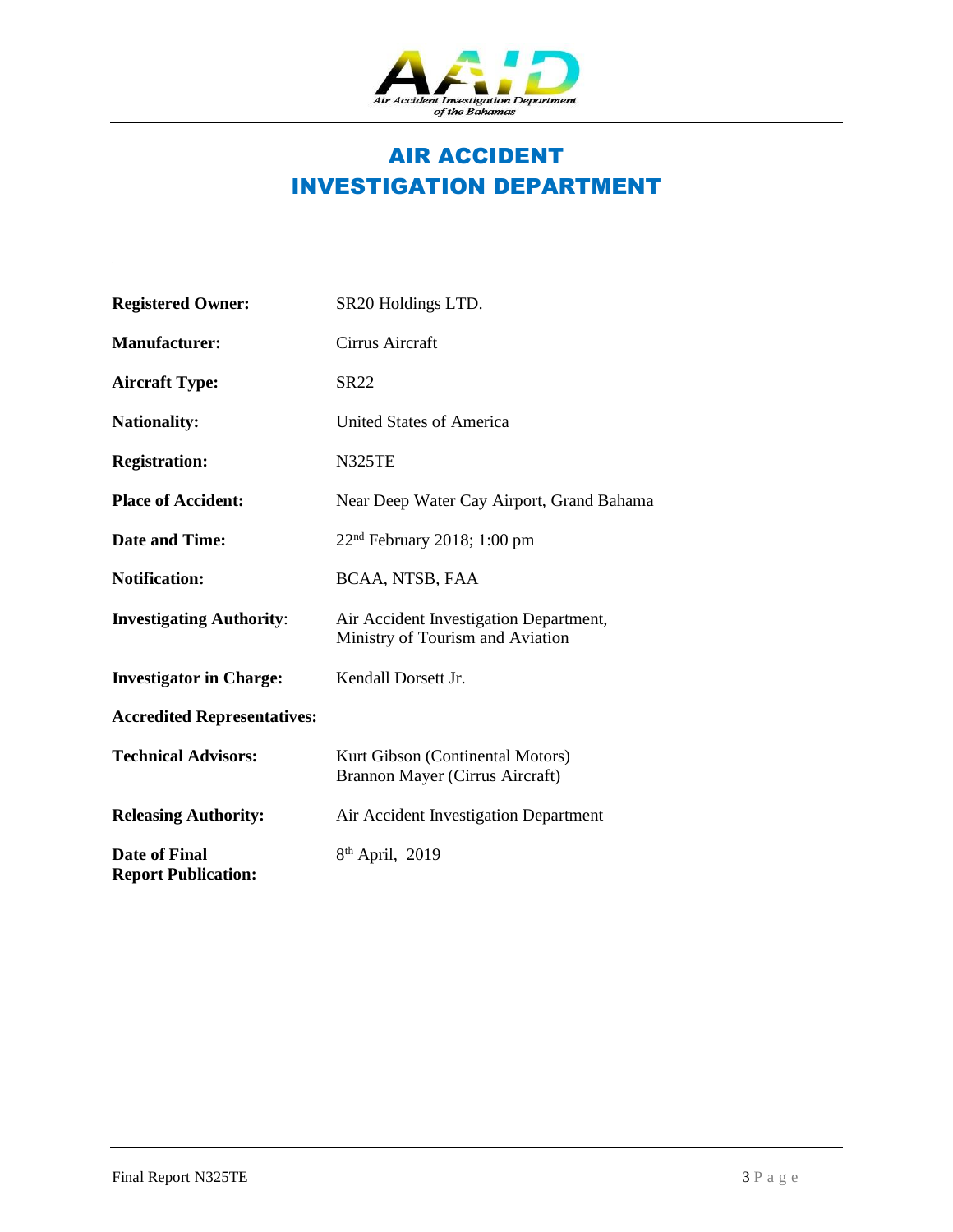

## AIR ACCIDENT INVESTIGATION DEPARTMENT

| <b>Registered Owner:</b>                    | SR20 Holdings LTD.                                                         |
|---------------------------------------------|----------------------------------------------------------------------------|
| <b>Manufacturer:</b>                        | Cirrus Aircraft                                                            |
| <b>Aircraft Type:</b>                       | SR22                                                                       |
| <b>Nationality:</b>                         | United States of America                                                   |
| <b>Registration:</b>                        | <b>N325TE</b>                                                              |
| <b>Place of Accident:</b>                   | Near Deep Water Cay Airport, Grand Bahama                                  |
| <b>Date and Time:</b>                       | $22nd$ February 2018; 1:00 pm                                              |
| <b>Notification:</b>                        | BCAA, NTSB, FAA                                                            |
| <b>Investigating Authority:</b>             | Air Accident Investigation Department,<br>Ministry of Tourism and Aviation |
| <b>Investigator in Charge:</b>              | Kendall Dorsett Jr.                                                        |
| <b>Accredited Representatives:</b>          |                                                                            |
| <b>Technical Advisors:</b>                  | Kurt Gibson (Continental Motors)<br>Brannon Mayer (Cirrus Aircraft)        |
| <b>Releasing Authority:</b>                 | Air Accident Investigation Department                                      |
| Date of Final<br><b>Report Publication:</b> | $8th$ April, 2019                                                          |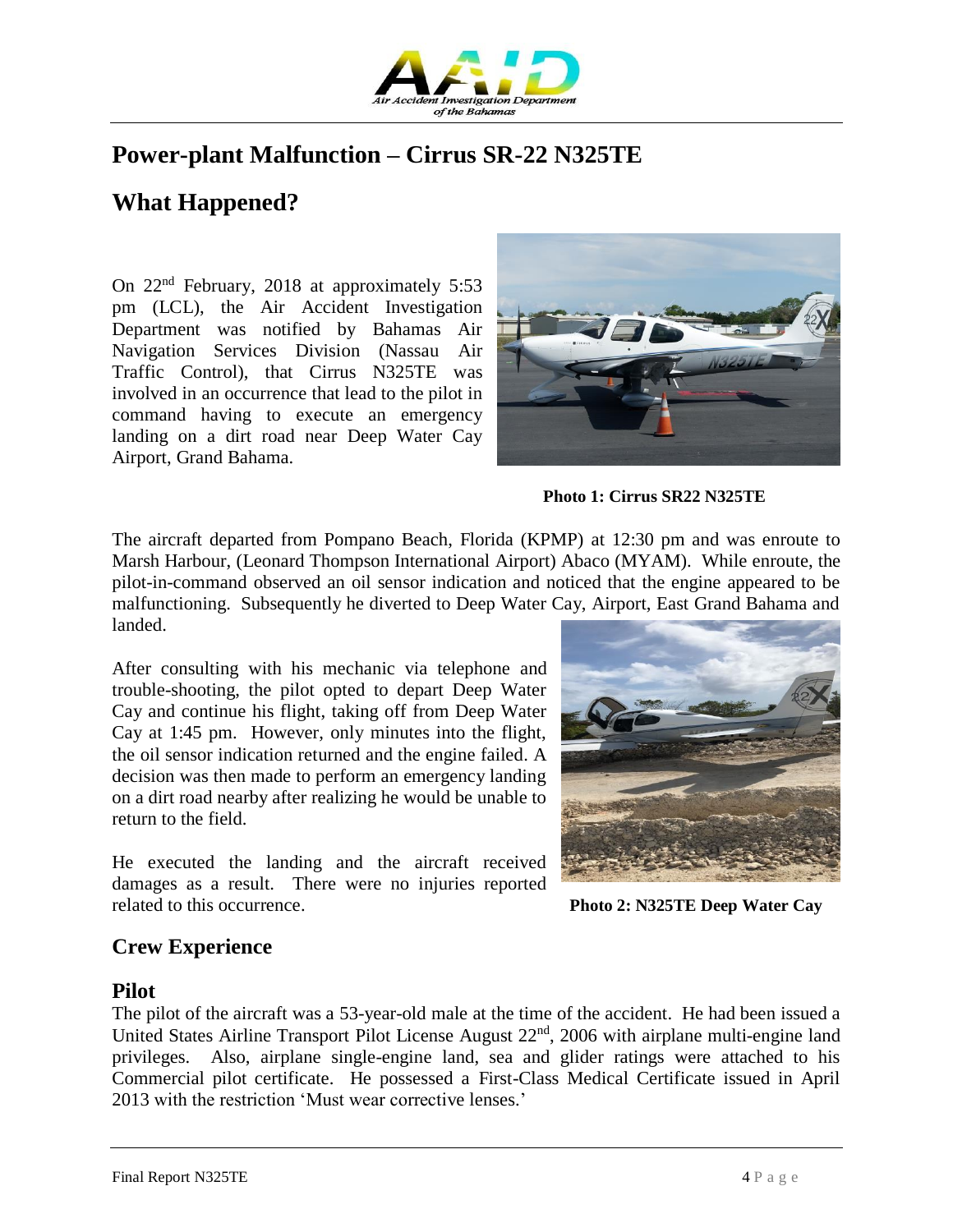

## **Power-plant Malfunction – Cirrus SR-22 N325TE**

## **What Happened?**

On 22nd February, 2018 at approximately 5:53 pm (LCL), the Air Accident Investigation Department was notified by Bahamas Air Navigation Services Division (Nassau Air Traffic Control), that Cirrus N325TE was involved in an occurrence that lead to the pilot in command having to execute an emergency landing on a dirt road near Deep Water Cay Airport, Grand Bahama.



 **Photo 1: Cirrus SR22 N325TE**

The aircraft departed from Pompano Beach, Florida (KPMP) at 12:30 pm and was enroute to Marsh Harbour, (Leonard Thompson International Airport) Abaco (MYAM). While enroute, the pilot-in-command observed an oil sensor indication and noticed that the engine appeared to be malfunctioning. Subsequently he diverted to Deep Water Cay, Airport, East Grand Bahama and landed.

After consulting with his mechanic via telephone and trouble-shooting, the pilot opted to depart Deep Water Cay and continue his flight, taking off from Deep Water Cay at 1:45 pm. However, only minutes into the flight, the oil sensor indication returned and the engine failed. A decision was then made to perform an emergency landing on a dirt road nearby after realizing he would be unable to return to the field.

He executed the landing and the aircraft received damages as a result. There were no injuries reported related to this occurrence. **Photo 2: N325TE Deep Water Cay**



#### **Crew Experience**

#### **Pilot**

The pilot of the aircraft was a 53-year-old male at the time of the accident. He had been issued a United States Airline Transport Pilot License August 22<sup>nd</sup>, 2006 with airplane multi-engine land privileges. Also, airplane single-engine land, sea and glider ratings were attached to his Commercial pilot certificate. He possessed a First-Class Medical Certificate issued in April 2013 with the restriction 'Must wear corrective lenses.'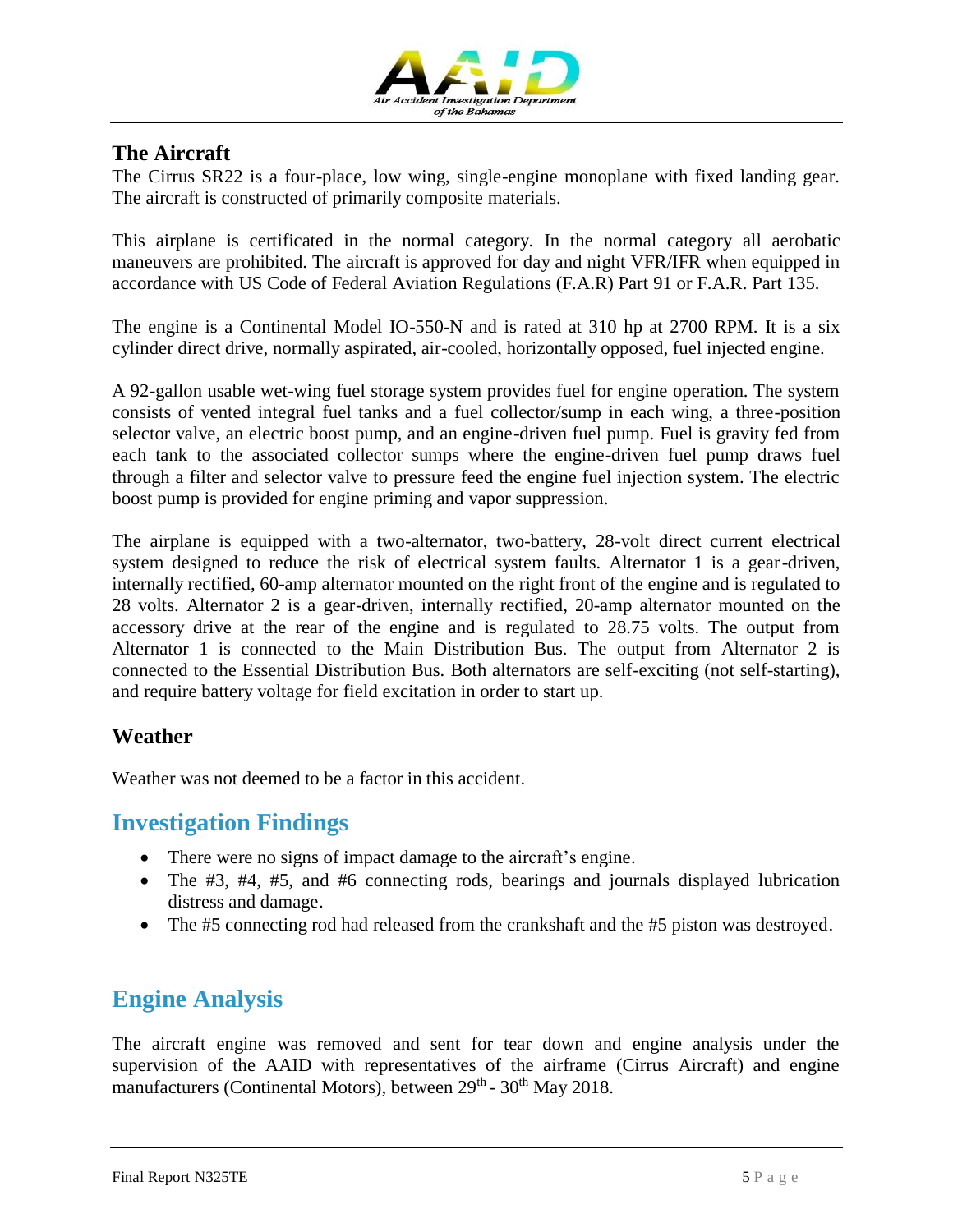

#### **The Aircraft**

The Cirrus SR22 is a four-place, low wing, single-engine monoplane with fixed landing gear. The aircraft is constructed of primarily composite materials.

This airplane is certificated in the normal category. In the normal category all aerobatic maneuvers are prohibited. The aircraft is approved for day and night VFR/IFR when equipped in accordance with US Code of Federal Aviation Regulations (F.A.R) Part 91 or F.A.R. Part 135.

The engine is a Continental Model IO-550-N and is rated at 310 hp at 2700 RPM. It is a six cylinder direct drive, normally aspirated, air-cooled, horizontally opposed, fuel injected engine.

A 92-gallon usable wet-wing fuel storage system provides fuel for engine operation. The system consists of vented integral fuel tanks and a fuel collector/sump in each wing, a three-position selector valve, an electric boost pump, and an engine-driven fuel pump. Fuel is gravity fed from each tank to the associated collector sumps where the engine-driven fuel pump draws fuel through a filter and selector valve to pressure feed the engine fuel injection system. The electric boost pump is provided for engine priming and vapor suppression.

The airplane is equipped with a two-alternator, two-battery, 28-volt direct current electrical system designed to reduce the risk of electrical system faults. Alternator 1 is a gear-driven, internally rectified, 60-amp alternator mounted on the right front of the engine and is regulated to 28 volts. Alternator 2 is a gear-driven, internally rectified, 20-amp alternator mounted on the accessory drive at the rear of the engine and is regulated to 28.75 volts. The output from Alternator 1 is connected to the Main Distribution Bus. The output from Alternator 2 is connected to the Essential Distribution Bus. Both alternators are self-exciting (not self-starting), and require battery voltage for field excitation in order to start up.

#### **Weather**

Weather was not deemed to be a factor in this accident.

#### **Investigation Findings**

- There were no signs of impact damage to the aircraft's engine.
- The #3, #4, #5, and #6 connecting rods, bearings and journals displayed lubrication distress and damage.
- The #5 connecting rod had released from the crankshaft and the #5 piston was destroyed.

## **Engine Analysis**

The aircraft engine was removed and sent for tear down and engine analysis under the supervision of the AAID with representatives of the airframe (Cirrus Aircraft) and engine manufacturers (Continental Motors), between 29<sup>th</sup> - 30<sup>th</sup> May 2018.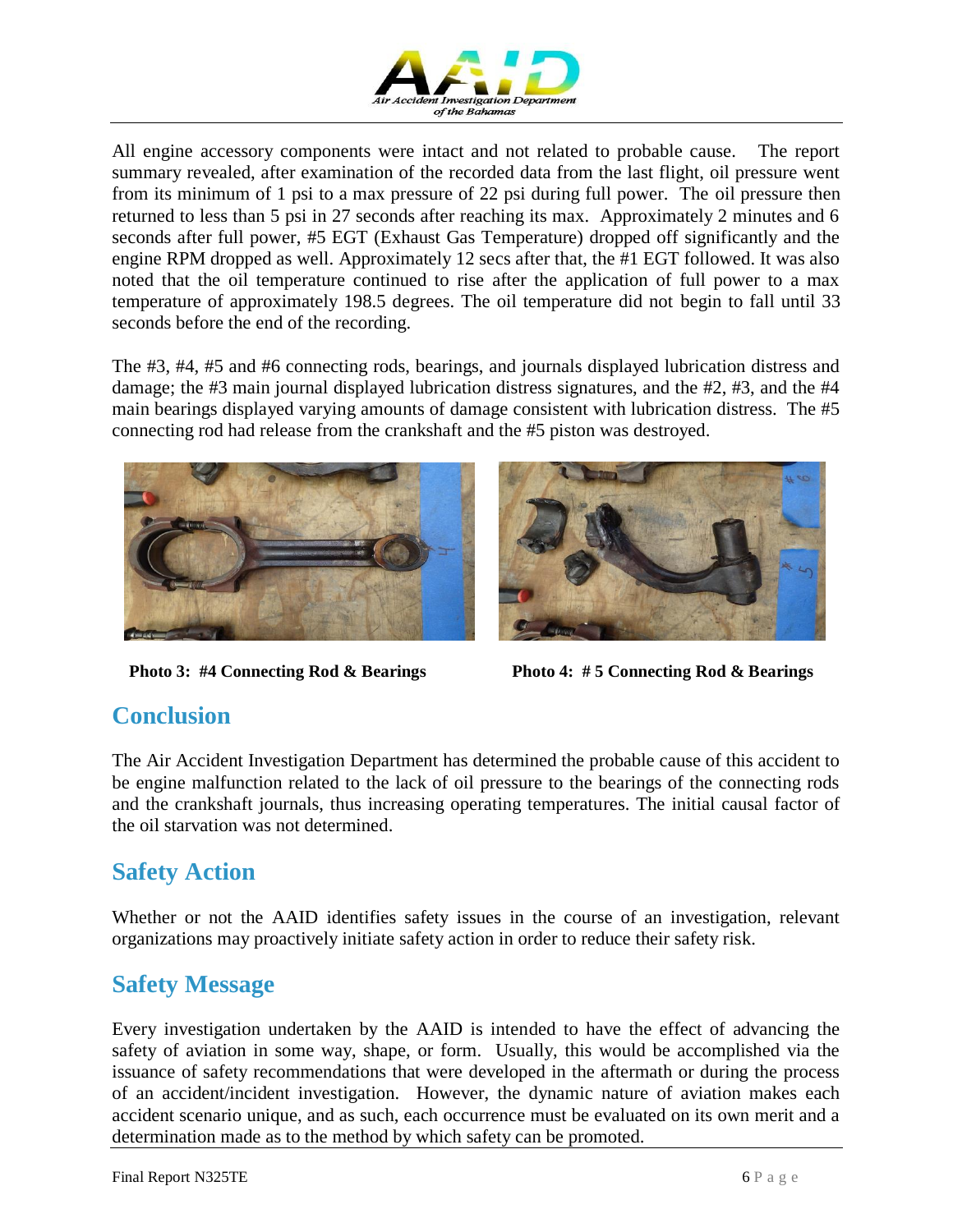

All engine accessory components were intact and not related to probable cause. The report summary revealed, after examination of the recorded data from the last flight, oil pressure went from its minimum of 1 psi to a max pressure of 22 psi during full power. The oil pressure then returned to less than 5 psi in 27 seconds after reaching its max. Approximately 2 minutes and 6 seconds after full power, #5 EGT (Exhaust Gas Temperature) dropped off significantly and the engine RPM dropped as well. Approximately 12 secs after that, the #1 EGT followed. It was also noted that the oil temperature continued to rise after the application of full power to a max temperature of approximately 198.5 degrees. The oil temperature did not begin to fall until 33 seconds before the end of the recording.

The #3, #4, #5 and #6 connecting rods, bearings, and journals displayed lubrication distress and damage; the #3 main journal displayed lubrication distress signatures, and the #2, #3, and the #4 main bearings displayed varying amounts of damage consistent with lubrication distress. The #5 connecting rod had release from the crankshaft and the #5 piston was destroyed.





 **Photo 3: #4 Connecting Rod & Bearings Photo 4: # 5 Connecting Rod & Bearings** 

## **Conclusion**

The Air Accident Investigation Department has determined the probable cause of this accident to be engine malfunction related to the lack of oil pressure to the bearings of the connecting rods and the crankshaft journals, thus increasing operating temperatures. The initial causal factor of the oil starvation was not determined.

## **Safety Action**

Whether or not the AAID identifies safety issues in the course of an investigation, relevant organizations may proactively initiate safety action in order to reduce their safety risk.

## **Safety Message**

Every investigation undertaken by the AAID is intended to have the effect of advancing the safety of aviation in some way, shape, or form. Usually, this would be accomplished via the issuance of safety recommendations that were developed in the aftermath or during the process of an accident/incident investigation. However, the dynamic nature of aviation makes each accident scenario unique, and as such, each occurrence must be evaluated on its own merit and a determination made as to the method by which safety can be promoted.